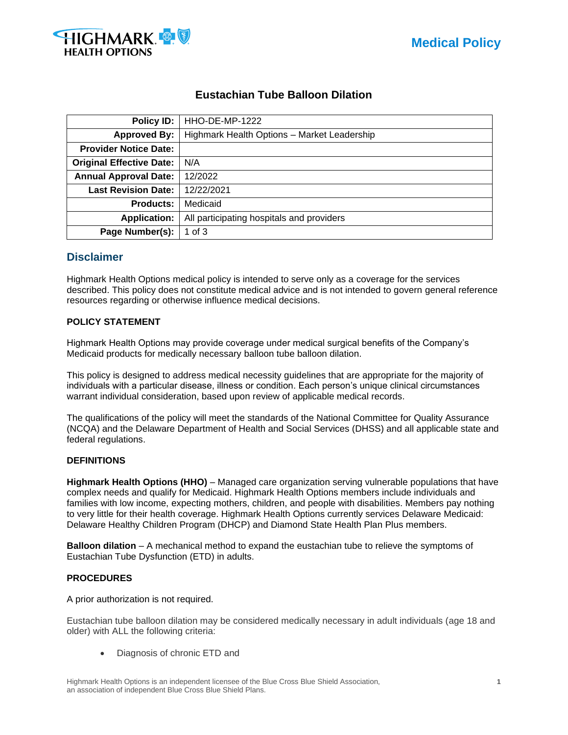



# **Eustachian Tube Balloon Dilation**

| <b>Policy ID:</b>               | HHO-DE-MP-1222                              |  |  |  |  |
|---------------------------------|---------------------------------------------|--|--|--|--|
| <b>Approved By:</b>             | Highmark Health Options - Market Leadership |  |  |  |  |
| <b>Provider Notice Date:</b>    |                                             |  |  |  |  |
| <b>Original Effective Date:</b> | N/A                                         |  |  |  |  |
| <b>Annual Approval Date:</b>    | 12/2022                                     |  |  |  |  |
| <b>Last Revision Date:</b>      | 12/22/2021                                  |  |  |  |  |
| <b>Products:</b>                | Medicaid                                    |  |  |  |  |
| <b>Application:</b>             | All participating hospitals and providers   |  |  |  |  |
| Page Number(s):                 | 1 of $3$                                    |  |  |  |  |

## **Disclaimer**

Highmark Health Options medical policy is intended to serve only as a coverage for the services described. This policy does not constitute medical advice and is not intended to govern general reference resources regarding or otherwise influence medical decisions.

## **POLICY STATEMENT**

Highmark Health Options may provide coverage under medical surgical benefits of the Company's Medicaid products for medically necessary balloon tube balloon dilation.

This policy is designed to address medical necessity guidelines that are appropriate for the majority of individuals with a particular disease, illness or condition. Each person's unique clinical circumstances warrant individual consideration, based upon review of applicable medical records.

The qualifications of the policy will meet the standards of the National Committee for Quality Assurance (NCQA) and the Delaware Department of Health and Social Services (DHSS) and all applicable state and federal regulations.

## **DEFINITIONS**

**Highmark Health Options (HHO)** – Managed care organization serving vulnerable populations that have complex needs and qualify for Medicaid. Highmark Health Options members include individuals and families with low income, expecting mothers, children, and people with disabilities. Members pay nothing to very little for their health coverage. Highmark Health Options currently services Delaware Medicaid: Delaware Healthy Children Program (DHCP) and Diamond State Health Plan Plus members.

**Balloon dilation** – A mechanical method to expand the eustachian tube to relieve the symptoms of Eustachian Tube Dysfunction (ETD) in adults.

## **PROCEDURES**

A prior authorization is not required.

Eustachian tube balloon dilation may be considered medically necessary in adult individuals (age 18 and older) with ALL the following criteria:

• Diagnosis of chronic ETD and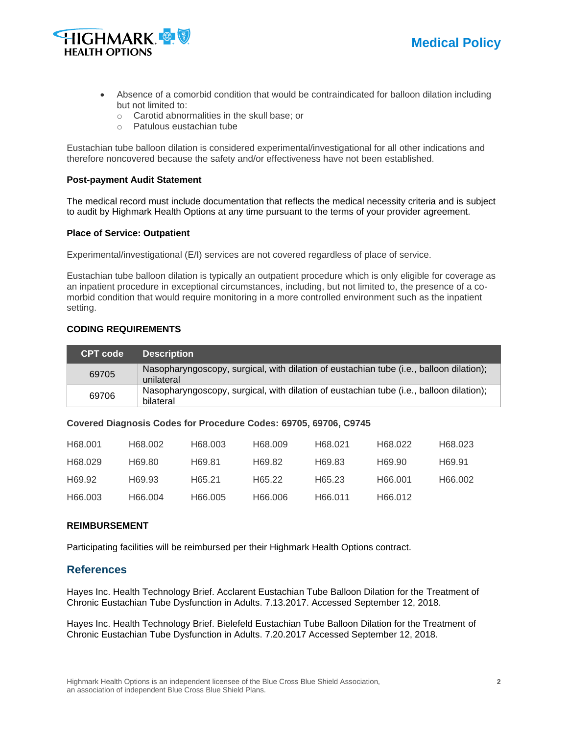



- Absence of a comorbid condition that would be contraindicated for balloon dilation including but not limited to:
	- o Carotid abnormalities in the skull base; or
	- o Patulous eustachian tube

Eustachian tube balloon dilation is considered experimental/investigational for all other indications and therefore noncovered because the safety and/or effectiveness have not been established.

#### **Post-payment Audit Statement**

The medical record must include documentation that reflects the medical necessity criteria and is subject to audit by Highmark Health Options at any time pursuant to the terms of your provider agreement.

#### **Place of Service: Outpatient**

Experimental/investigational (E/I) services are not covered regardless of place of service.

Eustachian tube balloon dilation is typically an outpatient procedure which is only eligible for coverage as an inpatient procedure in exceptional circumstances, including, but not limited to, the presence of a comorbid condition that would require monitoring in a more controlled environment such as the inpatient setting.

## **CODING REQUIREMENTS**

| <b>CPT code</b> | <b>Description</b>                                                                                    |
|-----------------|-------------------------------------------------------------------------------------------------------|
| 69705           | Nasopharyngoscopy, surgical, with dilation of eustachian tube (i.e., balloon dilation);<br>unilateral |
| 69706           | Nasopharyngoscopy, surgical, with dilation of eustachian tube (i.e., balloon dilation);<br>bilateral  |

#### **Covered Diagnosis Codes for Procedure Codes: 69705, 69706, C9745**

| H68.001 | H68.002 | H68.003 | H68.009 | H68.021 | H68.022 | H68.023 |
|---------|---------|---------|---------|---------|---------|---------|
| H68.029 | H69.80  | H69.81  | H69.82  | H69.83  | H69.90  | H69.91  |
| H69.92  | H69.93  | H65.21  | H65.22  | H65.23  | H66.001 | H66.002 |
| H66.003 | H66.004 | H66.005 | H66.006 | H66.011 | H66.012 |         |

## **REIMBURSEMENT**

Participating facilities will be reimbursed per their Highmark Health Options contract.

## **References**

Hayes Inc. Health Technology Brief. Acclarent Eustachian Tube Balloon Dilation for the Treatment of Chronic Eustachian Tube Dysfunction in Adults. 7.13.2017. Accessed September 12, 2018.

Hayes Inc. Health Technology Brief. Bielefeld Eustachian Tube Balloon Dilation for the Treatment of Chronic Eustachian Tube Dysfunction in Adults. 7.20.2017 Accessed September 12, 2018.